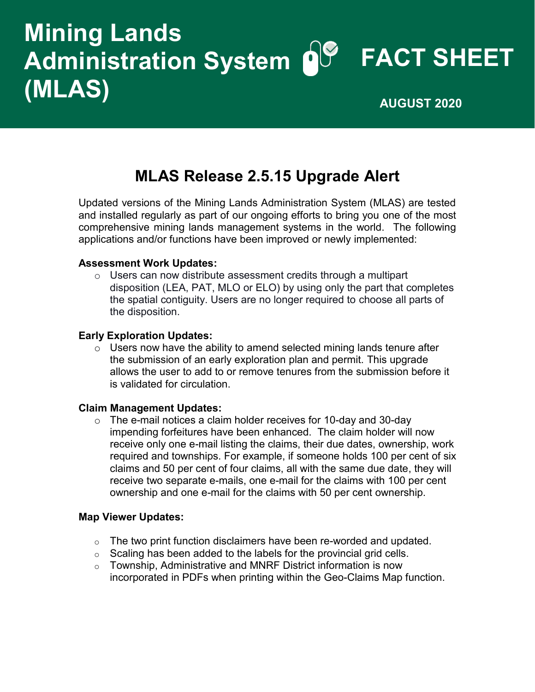# **FACT SHEET Administration System Mining Lands (MLAS) AUGUST 2020**

## **MLAS Release 2.5.15 Upgrade Alert**

Updated versions of the Mining Lands Administration System (MLAS) are tested and installed regularly as part of our ongoing efforts to bring you one of the most comprehensive mining lands management systems in the world. The following applications and/or functions have been improved or newly implemented:

#### **Assessment Work Updates:**

o Users can now distribute assessment credits through a multipart disposition (LEA, PAT, MLO or ELO) by using only the part that completes the spatial contiguity. Users are no longer required to choose all parts of the disposition.

#### **Early Exploration Updates:**

 $\circ$  Users now have the ability to amend selected mining lands tenure after the submission of an early exploration plan and permit. This upgrade allows the user to add to or remove tenures from the submission before it is validated for circulation.

#### **Claim Management Updates:**

 $\circ$  The e-mail notices a claim holder receives for 10-day and 30-day impending forfeitures have been enhanced. The claim holder will now receive only one e-mail listing the claims, their due dates, ownership, work required and townships. For example, if someone holds 100 per cent of six claims and 50 per cent of four claims, all with the same due date, they will receive two separate e-mails, one e-mail for the claims with 100 per cent ownership and one e-mail for the claims with 50 per cent ownership.

#### **Map Viewer Updates:**

- $\circ$  The two print function disclaimers have been re-worded and updated.
- o Scaling has been added to the labels for the provincial grid cells.
- $\circ$  Township, Administrative and MNRF District information is now incorporated in PDFs when printing within the Geo-Claims Map function.